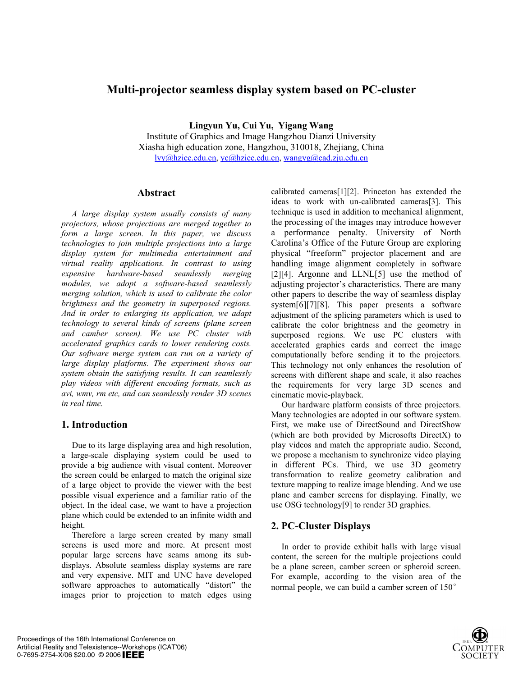# **Multi-projector seamless display system based on PC-cluster**

**Lingyun Yu, Cui Yu, Yigang Wang** 

Institute of Graphics and Image Hangzhou Dianzi University Xiasha high education zone, Hangzhou, 310018, Zhejiang, China lyy@hziee.edu.cn, yc@hziee.edu.cn, wangyg@cad.zju.edu.cn

## **Abstract**

*A large display system usually consists of many projectors, whose projections are merged together to form a large screen. In this paper, we discuss technologies to join multiple projections into a large display system for multimedia entertainment and virtual reality applications. In contrast to using expensive hardware-based seamlessly merging modules, we adopt a software-based seamlessly merging solution, which is used to calibrate the color brightness and the geometry in superposed regions. And in order to enlarging its application, we adapt technology to several kinds of screens (plane screen and camber screen). We use PC cluster with accelerated graphics cards to lower rendering costs. Our software merge system can run on a variety of large display platforms. The experiment shows our system obtain the satisfying results. It can seamlessly play videos with different encoding formats, such as avi, wmv, rm etc, and can seamlessly render 3D scenes in real time.* 

# **1. Introduction**

Due to its large displaying area and high resolution, a large-scale displaying system could be used to provide a big audience with visual content. Moreover the screen could be enlarged to match the original size of a large object to provide the viewer with the best possible visual experience and a familiar ratio of the object. In the ideal case, we want to have a projection plane which could be extended to an infinite width and height.

Therefore a large screen created by many small screens is used more and more. At present most popular large screens have seams among its subdisplays. Absolute seamless display systems are rare and very expensive. MIT and UNC have developed software approaches to automatically "distort" the images prior to projection to match edges using calibrated cameras[1][2]. Princeton has extended the ideas to work with un-calibrated cameras[3]. This technique is used in addition to mechanical alignment, the processing of the images may introduce however a performance penalty. University of North Carolina's Office of the Future Group are exploring physical "freeform" projector placement and are handling image alignment completely in software [2][4]. Argonne and LLNL[5] use the method of adjusting projector's characteristics. There are many other papers to describe the way of seamless display system[6][7][8]. This paper presents a software adjustment of the splicing parameters which is used to calibrate the color brightness and the geometry in superposed regions. We use PC clusters with accelerated graphics cards and correct the image computationally before sending it to the projectors. This technology not only enhances the resolution of screens with different shape and scale, it also reaches the requirements for very large 3D scenes and cinematic movie-playback.

Our hardware platform consists of three projectors. Many technologies are adopted in our software system. First, we make use of DirectSound and DirectShow (which are both provided by Microsofts DirectX) to play videos and match the appropriate audio. Second, we propose a mechanism to synchronize video playing in different PCs. Third, we use 3D geometry transformation to realize geometry calibration and texture mapping to realize image blending. And we use plane and camber screens for displaying. Finally, we use OSG technology[9] to render 3D graphics.

# **2. PC-Cluster Displays**

In order to provide exhibit halls with large visual content, the screen for the multiple projections could be a plane screen, camber screen or spheroid screen. For example, according to the vision area of the normal people, we can build a camber screen of 150°

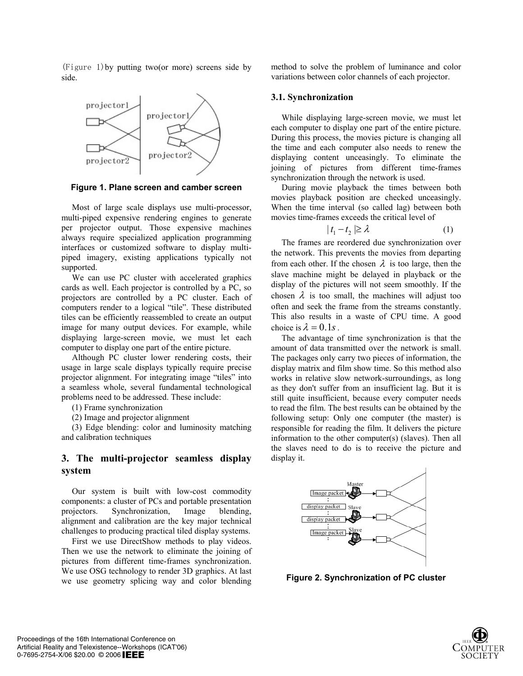(Figure 1)by putting two(or more) screens side by side.



**Figure 1. Plane screen and camber screen** 

Most of large scale displays use multi-processor, multi-piped expensive rendering engines to generate per projector output. Those expensive machines always require specialized application programming interfaces or customized software to display multipiped imagery, existing applications typically not supported.

We can use PC cluster with accelerated graphics cards as well. Each projector is controlled by a PC, so projectors are controlled by a PC cluster. Each of computers render to a logical "tile". These distributed tiles can be efficiently reassembled to create an output image for many output devices. For example, while displaying large-screen movie, we must let each computer to display one part of the entire picture.

Although PC cluster lower rendering costs, their usage in large scale displays typically require precise projector alignment. For integrating image "tiles" into a seamless whole, several fundamental technological problems need to be addressed. These include:

(1) Frame synchronization

(2) Image and projector alignment

(3) Edge blending: color and luminosity matching and calibration techniques

# **3. The multi-projector seamless display system**

Our system is built with low-cost commodity components: a cluster of PCs and portable presentation projectors. Synchronization, Image blending, alignment and calibration are the key major technical challenges to producing practical tiled display systems.

First we use DirectShow methods to play videos. Then we use the network to eliminate the joining of pictures from different time-frames synchronization. We use OSG technology to render 3D graphics. At last we use geometry splicing way and color blending method to solve the problem of luminance and color variations between color channels of each projector.

### **3.1. Synchronization**

While displaying large-screen movie, we must let each computer to display one part of the entire picture. During this process, the movies picture is changing all the time and each computer also needs to renew the displaying content unceasingly. To eliminate the joining of pictures from different time-frames synchronization through the network is used.

During movie playback the times between both movies playback position are checked unceasingly. When the time interval (so called lag) between both movies time-frames exceeds the critical level of

$$
|t_1 - t_2| \ge \lambda \tag{1}
$$

The frames are reordered due synchronization over the network. This prevents the movies from departing from each other. If the chosen  $\lambda$  is too large, then the slave machine might be delayed in playback or the display of the pictures will not seem smoothly. If the chosen  $\lambda$  is too small, the machines will adjust too often and seek the frame from the streams constantly. This also results in a waste of CPU time. A good choice is  $\lambda = 0.1s$ .

The advantage of time synchronization is that the amount of data transmitted over the network is small. The packages only carry two pieces of information, the display matrix and film show time. So this method also works in relative slow network-surroundings, as long as they don't suffer from an insufficient lag. But it is still quite insufficient, because every computer needs to read the film. The best results can be obtained by the following setup: Only one computer (the master) is responsible for reading the film. It delivers the picture information to the other computer(s) (slaves). Then all the slaves need to do is to receive the picture and display it.



**Figure 2. Synchronization of PC cluster** 

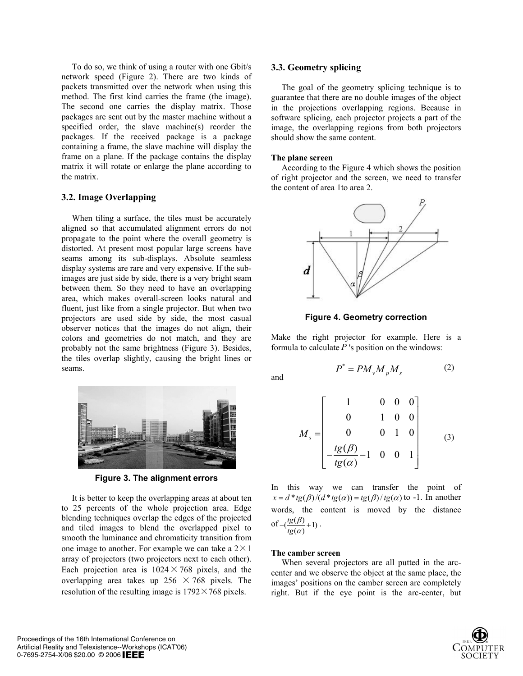To do so, we think of using a router with one Gbit/s network speed (Figure 2). There are two kinds of packets transmitted over the network when using this method. The first kind carries the frame (the image). The second one carries the display matrix. Those packages are sent out by the master machine without a specified order, the slave machine(s) reorder the packages. If the received package is a package containing a frame, the slave machine will display the frame on a plane. If the package contains the display matrix it will rotate or enlarge the plane according to the matrix.

### **3.2. Image Overlapping**

When tiling a surface, the tiles must be accurately aligned so that accumulated alignment errors do not propagate to the point where the overall geometry is distorted. At present most popular large screens have seams among its sub-displays. Absolute seamless display systems are rare and very expensive. If the subimages are just side by side, there is a very bright seam between them. So they need to have an overlapping area, which makes overall-screen looks natural and fluent, just like from a single projector. But when two projectors are used side by side, the most casual observer notices that the images do not align, their colors and geometries do not match, and they are probably not the same brightness (Figure 3). Besides, the tiles overlap slightly, causing the bright lines or seams.



**Figure 3. The alignment errors** 

It is better to keep the overlapping areas at about ten to 25 percents of the whole projection area. Edge blending techniques overlap the edges of the projected and tiled images to blend the overlapped pixel to smooth the luminance and chromaticity transition from one image to another. For example we can take a  $2 \times 1$ array of projectors (two projectors next to each other). Each projection area is  $1024 \times 768$  pixels, and the overlapping area takes up 256  $\times$  768 pixels. The resolution of the resulting image is  $1792 \times 768$  pixels.

### **3.3. Geometry splicing**

The goal of the geometry splicing technique is to guarantee that there are no double images of the object in the projections overlapping regions. Because in software splicing, each projector projects a part of the image, the overlapping regions from both projectors should show the same content.

#### **The plane screen**

According to the Figure 4 which shows the position of right projector and the screen, we need to transfer the content of area 1to area 2.



**Figure 4. Geometry correction** 

Make the right projector for example. Here is a formula to calculate *P* 's position on the windows:

 $P^* = PM \ M \ M \tag{2}$ 

and  $P^* = PM_vM_pM_s$ 

$$
M_s = \begin{bmatrix} 1 & 0 & 0 & 0 \\ 0 & 1 & 0 & 0 \\ 0 & 0 & 1 & 0 \\ -\frac{tg(\beta)}{tg(\alpha)} - 1 & 0 & 0 & 1 \end{bmatrix}
$$
 (3)

In this way we can transfer the point of  $x = d * t g(\beta)/(d * t g(\alpha)) = t g(\beta)/t g(\alpha)$  to -1. In another words, the content is moved by the distance of  $-(\frac{tg(\beta)}{tg(\alpha)}+1)$ *tg*  $-(\frac{tg(\beta)}{tg(\alpha)}+1)$ .

#### **The camber screen**

When several projectors are all putted in the arccenter and we observe the object at the same place, the images' positions on the camber screen are completely right. But if the eye point is the arc-center, but

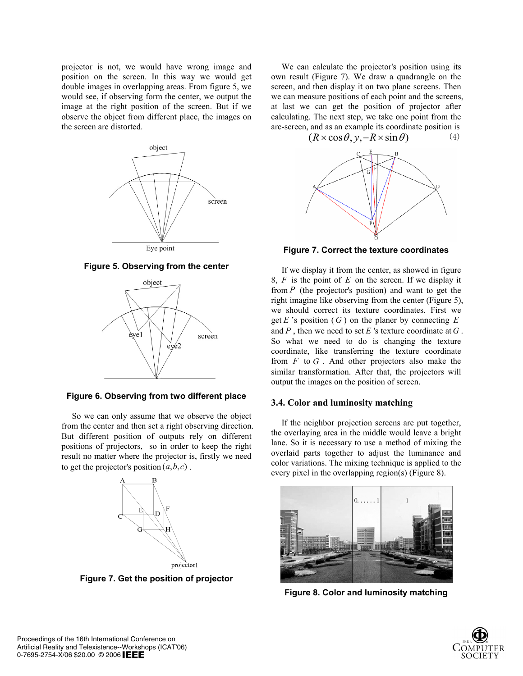projector is not, we would have wrong image and position on the screen. In this way we would get double images in overlapping areas. From figure 5, we would see, if observing form the center, we output the image at the right position of the screen. But if we observe the object from different place, the images on the screen are distorted.



**Figure 5. Observing from the center** 



**Figure 6. Observing from two different place** 

So we can only assume that we observe the object from the center and then set a right observing direction. But different position of outputs rely on different positions of projectors, so in order to keep the right result no matter where the projector is, firstly we need to get the projector's position  $(a,b,c)$ .



**Figure 7. Get the position of projector** 

We can calculate the projector's position using its own result (Figure 7). We draw a quadrangle on the screen, and then display it on two plane screens. Then we can measure positions of each point and the screens, at last we can get the position of projector after calculating. The next step, we take one point from the arc-screen, and as an example its coordinate position is



**Figure 7. Correct the texture coordinates** 

If we display it from the center, as showed in figure 8,  $F$  is the point of  $E$  on the screen. If we display it from *P* (the projector's position) and want to get the right imagine like observing from the center (Figure 5), we should correct its texture coordinates. First we get  $E$  's position  $(G)$  on the planer by connecting  $E$ and  $P$ , then we need to set  $E$  's texture coordinate at  $G$ . So what we need to do is changing the texture coordinate, like transferring the texture coordinate from  $F$  to  $G$ . And other projectors also make the similar transformation. After that, the projectors will output the images on the position of screen.

### **3.4. Color and luminosity matching**

If the neighbor projection screens are put together, the overlaying area in the middle would leave a bright lane. So it is necessary to use a method of mixing the overlaid parts together to adjust the luminance and color variations. The mixing technique is applied to the every pixel in the overlapping region(s) (Figure 8).



**Figure 8. Color and luminosity matching** 

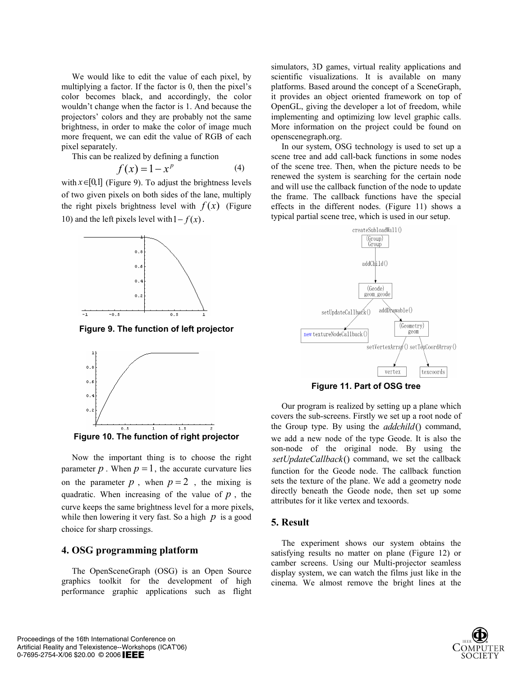We would like to edit the value of each pixel, by multiplying a factor. If the factor is 0, then the pixel's color becomes black, and accordingly, the color wouldn't change when the factor is 1. And because the projectors' colors and they are probably not the same brightness, in order to make the color of image much more frequent, we can edit the value of RGB of each pixel separately.

This can be realized by defining a function

$$
f(x) = 1 - x^p \tag{4}
$$

with  $x \in [0,1]$  (Figure 9). To adjust the brightness levels of two given pixels on both sides of the lane, multiply the right pixels brightness level with  $f(x)$  (Figure 10) and the left pixels level with  $1 - f(x)$ .



**Figure 9. The function of left projector** 



**Figure 10. The function of right projector** 

Now the important thing is to choose the right parameter  $p$ . When  $p = 1$ , the accurate curvature lies on the parameter  $p$ , when  $p = 2$ , the mixing is quadratic. When increasing of the value of  $p$ , the curve keeps the same brightness level for a more pixels, while then lowering it very fast. So a high  $p$  is a good choice for sharp crossings.

### **4. OSG programming platform**

The OpenSceneGraph (OSG) is an Open Source graphics toolkit for the development of high performance graphic applications such as flight

simulators, 3D games, virtual reality applications and scientific visualizations. It is available on many platforms. Based around the concept of a SceneGraph, it provides an object oriented framework on top of OpenGL, giving the developer a lot of freedom, while implementing and optimizing low level graphic calls. More information on the project could be found on openscenegraph.org.

In our system, OSG technology is used to set up a scene tree and add call-back functions in some nodes of the scene tree. Then, when the picture needs to be renewed the system is searching for the certain node and will use the callback function of the node to update the frame. The callback functions have the special effects in the different nodes. (Figure 11) shows a typical partial scene tree, which is used in our setup.



**Figure 11. Part of OSG tree** 

Our program is realized by setting up a plane which covers the sub-screens. Firstly we set up a root node of the Group type. By using the *addchild*() command, we add a new node of the type Geode. It is also the son-node of the original node. By using the *setUpdateCallback*() command, we set the callback function for the Geode node. The callback function sets the texture of the plane. We add a geometry node directly beneath the Geode node, then set up some attributes for it like vertex and texoords.

### **5. Result**

The experiment shows our system obtains the satisfying results no matter on plane (Figure 12) or camber screens. Using our Multi-projector seamless display system, we can watch the films just like in the cinema. We almost remove the bright lines at the